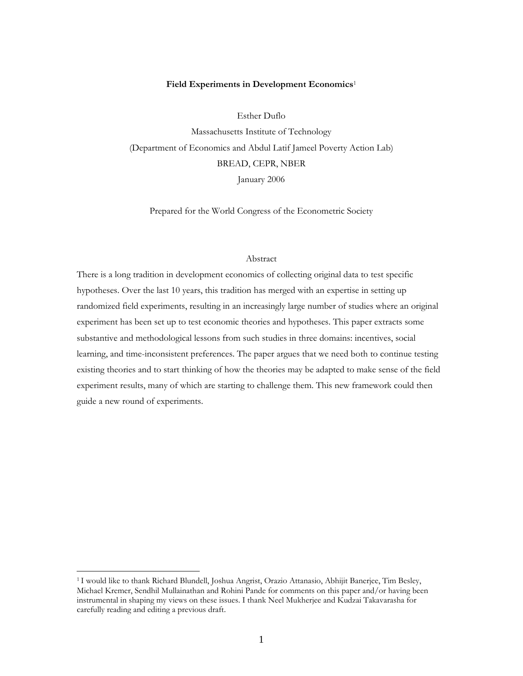### **Field Experiments in Development Economics**<sup>1</sup>

Esther Duflo Massachusetts Institute of Technology (Department of Economics and Abdul Latif Jameel Poverty Action Lab) BREAD, CEPR, NBER January 2006

Prepared for the World Congress of the Econometric Society

### Abstract

There is a long tradition in development economics of collecting original data to test specific hypotheses. Over the last 10 years, this tradition has merged with an expertise in setting up randomized field experiments, resulting in an increasingly large number of studies where an original experiment has been set up to test economic theories and hypotheses. This paper extracts some substantive and methodological lessons from such studies in three domains: incentives, social learning, and time-inconsistent preferences. The paper argues that we need both to continue testing existing theories and to start thinking of how the theories may be adapted to make sense of the field experiment results, many of which are starting to challenge them. This new framework could then guide a new round of experiments.

 $\overline{a}$ 

<sup>1</sup> I would like to thank Richard Blundell, Joshua Angrist, Orazio Attanasio, Abhijit Banerjee, Tim Besley, Michael Kremer, Sendhil Mullainathan and Rohini Pande for comments on this paper and/or having been instrumental in shaping my views on these issues. I thank Neel Mukherjee and Kudzai Takavarasha for carefully reading and editing a previous draft.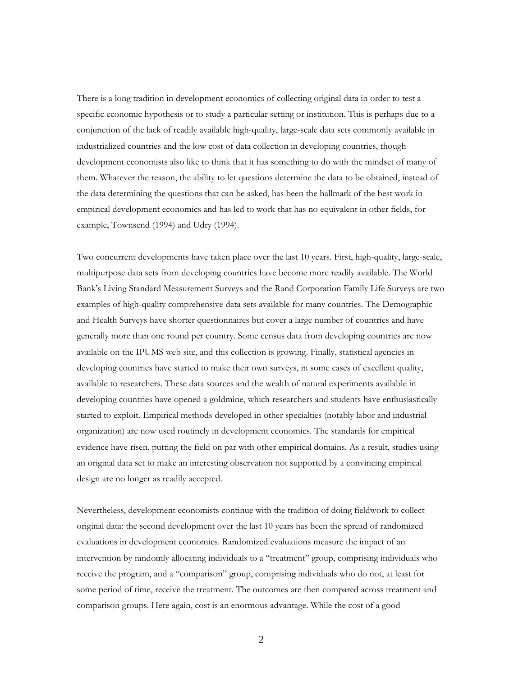There is a long tradition in development economics of collecting original data in order to test a specific economic hypothesis or to study a particular setting or institution. This is perhaps due to a conjunction of the lack of readily available high-quality, large-scale data sets commonly available in industrialized countries and the low cost of data collection in developing countries, though development economists also like to think that it has something to do with the mindset of many of them. Whatever the reason, the ability to let questions determine the data to be obtained, instead of the data determining the questions that can be asked, has been the hallmark of the best work in empirical development economics and has led to work that has no equivalent in other fields, for example, Townsend (1994) and Udry (1994).

Two concurrent developments have taken place over the last 10 years. First, high-quality, large-scale, multipurpose data sets from developing countries have become more readily available. The World Bank's Living Standard Measurement Surveys and the Rand Corporation Family Life Surveys are two examples of high-quality comprehensive data sets available for many countries. The Demographic and Health Surveys have shorter questionnaires but cover a large number of countries and have generally more than one round per country. Some census data from developing countries are now available on the IPUMS web site, and this collection is growing. Finally, statistical agencies in developing countries have started to make their own surveys, in some cases of excellent quality, available to researchers. These data sources and the wealth of natural experiments available in developing countries have opened a goldmine, which researchers and students have enthusiastically started to exploit. Empirical methods developed in other specialties (notably labor and industrial organization) are now used routinely in development economics. The standards for empirical evidence have risen, putting the field on par with other empirical domains. As a result, studies using an original data set to make an interesting observation not supported by a convincing empirical design are no longer as readily accepted.

Nevertheless, development economists continue with the tradition of doing fieldwork to collect original data: the second development over the last 10 years has been the spread of randomized evaluations in development economics. Randomized evaluations measure the impact of an intervention by randomly allocating individuals to a "treatment" group, comprising individuals who receive the program, and a "comparison" group, comprising individuals who do not, at least for some period of time, receive the treatment. The outcomes are then compared across treatment and comparison groups. Here again, cost is an enormous advantage. While the cost of a good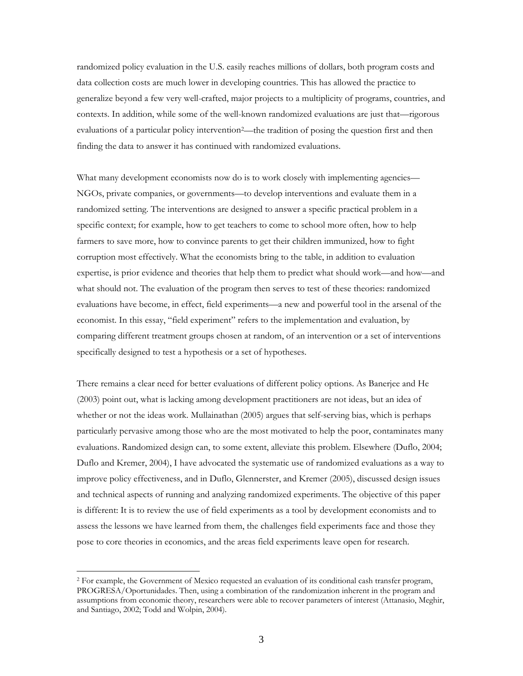randomized policy evaluation in the U.S. easily reaches millions of dollars, both program costs and data collection costs are much lower in developing countries. This has allowed the practice to generalize beyond a few very well-crafted, major projects to a multiplicity of programs, countries, and contexts. In addition, while some of the well-known randomized evaluations are just that—rigorous evaluations of a particular policy intervention<sup>2</sup>—the tradition of posing the question first and then finding the data to answer it has continued with randomized evaluations.

What many development economists now do is to work closely with implementing agencies— NGOs, private companies, or governments—to develop interventions and evaluate them in a randomized setting. The interventions are designed to answer a specific practical problem in a specific context; for example, how to get teachers to come to school more often, how to help farmers to save more, how to convince parents to get their children immunized, how to fight corruption most effectively. What the economists bring to the table, in addition to evaluation expertise, is prior evidence and theories that help them to predict what should work—and how—and what should not. The evaluation of the program then serves to test of these theories: randomized evaluations have become, in effect, field experiments—a new and powerful tool in the arsenal of the economist. In this essay, "field experiment" refers to the implementation and evaluation, by comparing different treatment groups chosen at random, of an intervention or a set of interventions specifically designed to test a hypothesis or a set of hypotheses.

There remains a clear need for better evaluations of different policy options. As Banerjee and He (2003) point out, what is lacking among development practitioners are not ideas, but an idea of whether or not the ideas work. Mullainathan (2005) argues that self-serving bias, which is perhaps particularly pervasive among those who are the most motivated to help the poor, contaminates many evaluations. Randomized design can, to some extent, alleviate this problem. Elsewhere (Duflo, 2004; Duflo and Kremer, 2004), I have advocated the systematic use of randomized evaluations as a way to improve policy effectiveness, and in Duflo, Glennerster, and Kremer (2005), discussed design issues and technical aspects of running and analyzing randomized experiments. The objective of this paper is different: It is to review the use of field experiments as a tool by development economists and to assess the lessons we have learned from them, the challenges field experiments face and those they pose to core theories in economics, and the areas field experiments leave open for research.

 $\overline{a}$ 

<sup>&</sup>lt;sup>2</sup> For example, the Government of Mexico requested an evaluation of its conditional cash transfer program, PROGRESA/Oportunidades. Then, using a combination of the randomization inherent in the program and assumptions from economic theory, researchers were able to recover parameters of interest (Attanasio, Meghir, and Santiago, 2002; Todd and Wolpin, 2004).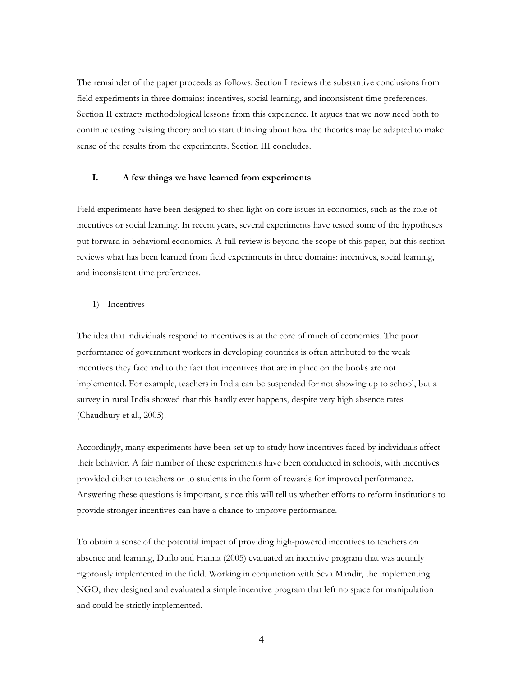The remainder of the paper proceeds as follows: Section I reviews the substantive conclusions from field experiments in three domains: incentives, social learning, and inconsistent time preferences. Section II extracts methodological lessons from this experience. It argues that we now need both to continue testing existing theory and to start thinking about how the theories may be adapted to make sense of the results from the experiments. Section III concludes.

# **I. A few things we have learned from experiments**

Field experiments have been designed to shed light on core issues in economics, such as the role of incentives or social learning. In recent years, several experiments have tested some of the hypotheses put forward in behavioral economics. A full review is beyond the scope of this paper, but this section reviews what has been learned from field experiments in three domains: incentives, social learning, and inconsistent time preferences.

#### 1) Incentives

The idea that individuals respond to incentives is at the core of much of economics. The poor performance of government workers in developing countries is often attributed to the weak incentives they face and to the fact that incentives that are in place on the books are not implemented. For example, teachers in India can be suspended for not showing up to school, but a survey in rural India showed that this hardly ever happens, despite very high absence rates (Chaudhury et al., 2005).

Accordingly, many experiments have been set up to study how incentives faced by individuals affect their behavior. A fair number of these experiments have been conducted in schools, with incentives provided either to teachers or to students in the form of rewards for improved performance. Answering these questions is important, since this will tell us whether efforts to reform institutions to provide stronger incentives can have a chance to improve performance.

To obtain a sense of the potential impact of providing high-powered incentives to teachers on absence and learning, Duflo and Hanna (2005) evaluated an incentive program that was actually rigorously implemented in the field. Working in conjunction with Seva Mandir, the implementing NGO, they designed and evaluated a simple incentive program that left no space for manipulation and could be strictly implemented.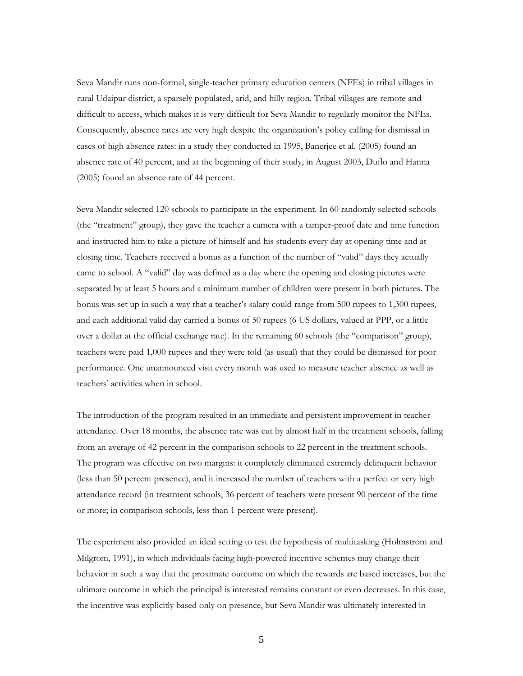Seva Mandir runs non-formal, single-teacher primary education centers (NFEs) in tribal villages in rural Udaipur district, a sparsely populated, arid, and hilly region. Tribal villages are remote and difficult to access, which makes it is very difficult for Seva Mandir to regularly monitor the NFEs. Consequently, absence rates are very high despite the organization's policy calling for dismissal in cases of high absence rates: in a study they conducted in 1995, Banerjee et al. (2005) found an absence rate of 40 percent, and at the beginning of their study, in August 2003, Duflo and Hanna (2005) found an absence rate of 44 percent.

Seva Mandir selected 120 schools to participate in the experiment. In 60 randomly selected schools (the "treatment" group), they gave the teacher a camera with a tamper-proof date and time function and instructed him to take a picture of himself and his students every day at opening time and at closing time. Teachers received a bonus as a function of the number of "valid" days they actually came to school. A "valid" day was defined as a day where the opening and closing pictures were separated by at least 5 hours and a minimum number of children were present in both pictures. The bonus was set up in such a way that a teacher's salary could range from 500 rupees to 1,300 rupees, and each additional valid day carried a bonus of 50 rupees (6 US dollars, valued at PPP, or a little over a dollar at the official exchange rate). In the remaining 60 schools (the "comparison" group), teachers were paid 1,000 rupees and they were told (as usual) that they could be dismissed for poor performance. One unannounced visit every month was used to measure teacher absence as well as teachers' activities when in school.

The introduction of the program resulted in an immediate and persistent improvement in teacher attendance. Over 18 months, the absence rate was cut by almost half in the treatment schools, falling from an average of 42 percent in the comparison schools to 22 percent in the treatment schools. The program was effective on two margins: it completely eliminated extremely delinquent behavior (less than 50 percent presence), and it increased the number of teachers with a perfect or very high attendance record (in treatment schools, 36 percent of teachers were present 90 percent of the time or more; in comparison schools, less than 1 percent were present).

The experiment also provided an ideal setting to test the hypothesis of multitasking (Holmstrom and Milgrom, 1991), in which individuals facing high-powered incentive schemes may change their behavior in such a way that the proximate outcome on which the rewards are based increases, but the ultimate outcome in which the principal is interested remains constant or even decreases. In this case, the incentive was explicitly based only on presence, but Seva Mandir was ultimately interested in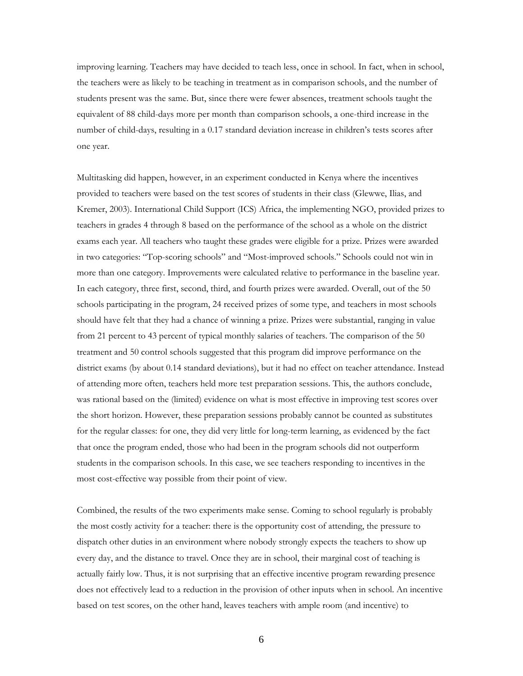improving learning. Teachers may have decided to teach less, once in school. In fact, when in school, the teachers were as likely to be teaching in treatment as in comparison schools, and the number of students present was the same. But, since there were fewer absences, treatment schools taught the equivalent of 88 child-days more per month than comparison schools, a one-third increase in the number of child-days, resulting in a 0.17 standard deviation increase in children's tests scores after one year.

Multitasking did happen, however, in an experiment conducted in Kenya where the incentives provided to teachers were based on the test scores of students in their class (Glewwe, Ilias, and Kremer, 2003). International Child Support (ICS) Africa, the implementing NGO, provided prizes to teachers in grades 4 through 8 based on the performance of the school as a whole on the district exams each year. All teachers who taught these grades were eligible for a prize. Prizes were awarded in two categories: "Top-scoring schools" and "Most-improved schools." Schools could not win in more than one category. Improvements were calculated relative to performance in the baseline year. In each category, three first, second, third, and fourth prizes were awarded. Overall, out of the 50 schools participating in the program, 24 received prizes of some type, and teachers in most schools should have felt that they had a chance of winning a prize. Prizes were substantial, ranging in value from 21 percent to 43 percent of typical monthly salaries of teachers. The comparison of the 50 treatment and 50 control schools suggested that this program did improve performance on the district exams (by about 0.14 standard deviations), but it had no effect on teacher attendance. Instead of attending more often, teachers held more test preparation sessions. This, the authors conclude, was rational based on the (limited) evidence on what is most effective in improving test scores over the short horizon. However, these preparation sessions probably cannot be counted as substitutes for the regular classes: for one, they did very little for long-term learning, as evidenced by the fact that once the program ended, those who had been in the program schools did not outperform students in the comparison schools. In this case, we see teachers responding to incentives in the most cost-effective way possible from their point of view.

Combined, the results of the two experiments make sense. Coming to school regularly is probably the most costly activity for a teacher: there is the opportunity cost of attending, the pressure to dispatch other duties in an environment where nobody strongly expects the teachers to show up every day, and the distance to travel. Once they are in school, their marginal cost of teaching is actually fairly low. Thus, it is not surprising that an effective incentive program rewarding presence does not effectively lead to a reduction in the provision of other inputs when in school. An incentive based on test scores, on the other hand, leaves teachers with ample room (and incentive) to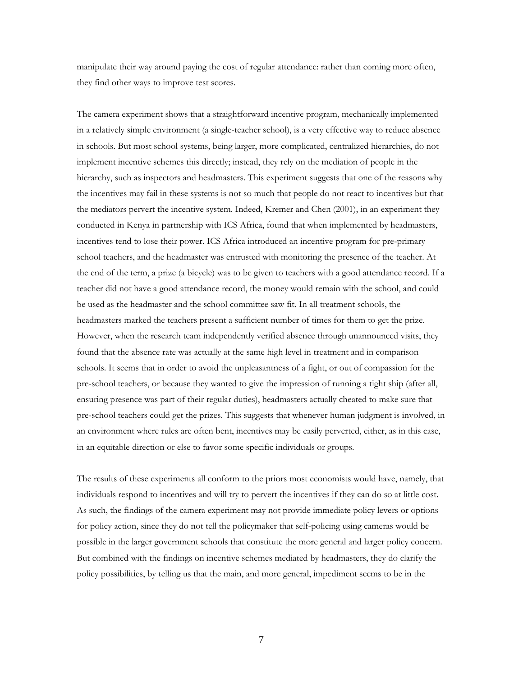manipulate their way around paying the cost of regular attendance: rather than coming more often, they find other ways to improve test scores.

The camera experiment shows that a straightforward incentive program, mechanically implemented in a relatively simple environment (a single-teacher school), is a very effective way to reduce absence in schools. But most school systems, being larger, more complicated, centralized hierarchies, do not implement incentive schemes this directly; instead, they rely on the mediation of people in the hierarchy, such as inspectors and headmasters. This experiment suggests that one of the reasons why the incentives may fail in these systems is not so much that people do not react to incentives but that the mediators pervert the incentive system. Indeed, Kremer and Chen (2001), in an experiment they conducted in Kenya in partnership with ICS Africa, found that when implemented by headmasters, incentives tend to lose their power. ICS Africa introduced an incentive program for pre-primary school teachers, and the headmaster was entrusted with monitoring the presence of the teacher. At the end of the term, a prize (a bicycle) was to be given to teachers with a good attendance record. If a teacher did not have a good attendance record, the money would remain with the school, and could be used as the headmaster and the school committee saw fit. In all treatment schools, the headmasters marked the teachers present a sufficient number of times for them to get the prize. However, when the research team independently verified absence through unannounced visits, they found that the absence rate was actually at the same high level in treatment and in comparison schools. It seems that in order to avoid the unpleasantness of a fight, or out of compassion for the pre-school teachers, or because they wanted to give the impression of running a tight ship (after all, ensuring presence was part of their regular duties), headmasters actually cheated to make sure that pre-school teachers could get the prizes. This suggests that whenever human judgment is involved, in an environment where rules are often bent, incentives may be easily perverted, either, as in this case, in an equitable direction or else to favor some specific individuals or groups.

The results of these experiments all conform to the priors most economists would have, namely, that individuals respond to incentives and will try to pervert the incentives if they can do so at little cost. As such, the findings of the camera experiment may not provide immediate policy levers or options for policy action, since they do not tell the policymaker that self-policing using cameras would be possible in the larger government schools that constitute the more general and larger policy concern. But combined with the findings on incentive schemes mediated by headmasters, they do clarify the policy possibilities, by telling us that the main, and more general, impediment seems to be in the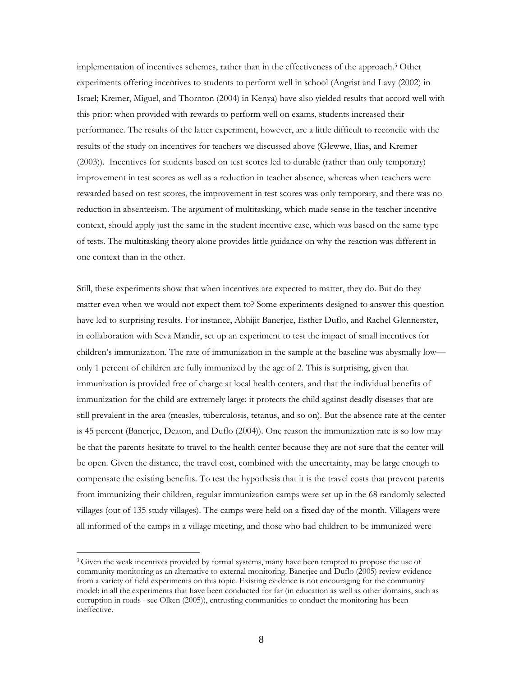implementation of incentives schemes, rather than in the effectiveness of the approach.3 Other experiments offering incentives to students to perform well in school (Angrist and Lavy (2002) in Israel; Kremer, Miguel, and Thornton (2004) in Kenya) have also yielded results that accord well with this prior: when provided with rewards to perform well on exams, students increased their performance. The results of the latter experiment, however, are a little difficult to reconcile with the results of the study on incentives for teachers we discussed above (Glewwe, Ilias, and Kremer (2003)). Incentives for students based on test scores led to durable (rather than only temporary) improvement in test scores as well as a reduction in teacher absence, whereas when teachers were rewarded based on test scores, the improvement in test scores was only temporary, and there was no reduction in absenteeism. The argument of multitasking, which made sense in the teacher incentive context, should apply just the same in the student incentive case, which was based on the same type of tests. The multitasking theory alone provides little guidance on why the reaction was different in one context than in the other.

Still, these experiments show that when incentives are expected to matter, they do. But do they matter even when we would not expect them to? Some experiments designed to answer this question have led to surprising results. For instance, Abhijit Banerjee, Esther Duflo, and Rachel Glennerster, in collaboration with Seva Mandir, set up an experiment to test the impact of small incentives for children's immunization. The rate of immunization in the sample at the baseline was abysmally low only 1 percent of children are fully immunized by the age of 2. This is surprising, given that immunization is provided free of charge at local health centers, and that the individual benefits of immunization for the child are extremely large: it protects the child against deadly diseases that are still prevalent in the area (measles, tuberculosis, tetanus, and so on). But the absence rate at the center is 45 percent (Banerjee, Deaton, and Duflo (2004)). One reason the immunization rate is so low may be that the parents hesitate to travel to the health center because they are not sure that the center will be open. Given the distance, the travel cost, combined with the uncertainty, may be large enough to compensate the existing benefits. To test the hypothesis that it is the travel costs that prevent parents from immunizing their children, regular immunization camps were set up in the 68 randomly selected villages (out of 135 study villages). The camps were held on a fixed day of the month. Villagers were all informed of the camps in a village meeting, and those who had children to be immunized were

 $\overline{a}$ 

<sup>&</sup>lt;sup>3</sup> Given the weak incentives provided by formal systems, many have been tempted to propose the use of community monitoring as an alternative to external monitoring. Banerjee and Duflo (2005) review evidence from a variety of field experiments on this topic. Existing evidence is not encouraging for the community model: in all the experiments that have been conducted for far (in education as well as other domains, such as corruption in roads –see Olken (2005)), entrusting communities to conduct the monitoring has been ineffective.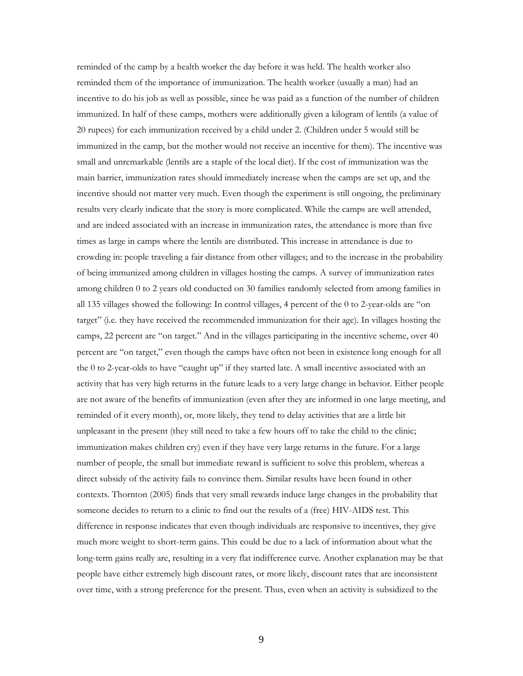reminded of the camp by a health worker the day before it was held. The health worker also reminded them of the importance of immunization. The health worker (usually a man) had an incentive to do his job as well as possible, since he was paid as a function of the number of children immunized. In half of these camps, mothers were additionally given a kilogram of lentils (a value of 20 rupees) for each immunization received by a child under 2. (Children under 5 would still be immunized in the camp, but the mother would not receive an incentive for them). The incentive was small and unremarkable (lentils are a staple of the local diet). If the cost of immunization was the main barrier, immunization rates should immediately increase when the camps are set up, and the incentive should not matter very much. Even though the experiment is still ongoing, the preliminary results very clearly indicate that the story is more complicated. While the camps are well attended, and are indeed associated with an increase in immunization rates, the attendance is more than five times as large in camps where the lentils are distributed. This increase in attendance is due to crowding in: people traveling a fair distance from other villages; and to the increase in the probability of being immunized among children in villages hosting the camps. A survey of immunization rates among children 0 to 2 years old conducted on 30 families randomly selected from among families in all 135 villages showed the following: In control villages, 4 percent of the 0 to 2-year-olds are "on target" (i.e. they have received the recommended immunization for their age). In villages hosting the camps, 22 percent are "on target." And in the villages participating in the incentive scheme, over 40 percent are "on target," even though the camps have often not been in existence long enough for all the 0 to 2-year-olds to have "caught up" if they started late. A small incentive associated with an activity that has very high returns in the future leads to a very large change in behavior. Either people are not aware of the benefits of immunization (even after they are informed in one large meeting, and reminded of it every month), or, more likely, they tend to delay activities that are a little bit unpleasant in the present (they still need to take a few hours off to take the child to the clinic; immunization makes children cry) even if they have very large returns in the future. For a large number of people, the small but immediate reward is sufficient to solve this problem, whereas a direct subsidy of the activity fails to convince them. Similar results have been found in other contexts. Thornton (2005) finds that very small rewards induce large changes in the probability that someone decides to return to a clinic to find out the results of a (free) HIV-AIDS test. This difference in response indicates that even though individuals are responsive to incentives, they give much more weight to short-term gains. This could be due to a lack of information about what the long-term gains really are, resulting in a very flat indifference curve. Another explanation may be that people have either extremely high discount rates, or more likely, discount rates that are inconsistent over time, with a strong preference for the present. Thus, even when an activity is subsidized to the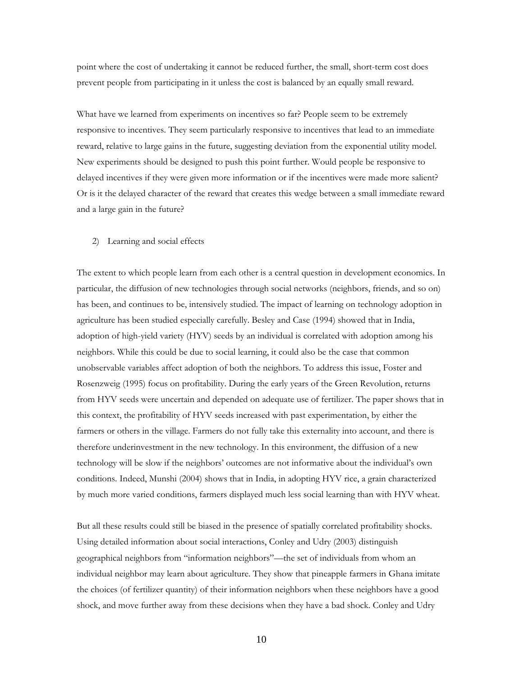point where the cost of undertaking it cannot be reduced further, the small, short-term cost does prevent people from participating in it unless the cost is balanced by an equally small reward.

What have we learned from experiments on incentives so far? People seem to be extremely responsive to incentives. They seem particularly responsive to incentives that lead to an immediate reward, relative to large gains in the future, suggesting deviation from the exponential utility model. New experiments should be designed to push this point further. Would people be responsive to delayed incentives if they were given more information or if the incentives were made more salient? Or is it the delayed character of the reward that creates this wedge between a small immediate reward and a large gain in the future?

#### 2) Learning and social effects

The extent to which people learn from each other is a central question in development economics. In particular, the diffusion of new technologies through social networks (neighbors, friends, and so on) has been, and continues to be, intensively studied. The impact of learning on technology adoption in agriculture has been studied especially carefully. Besley and Case (1994) showed that in India, adoption of high-yield variety (HYV) seeds by an individual is correlated with adoption among his neighbors. While this could be due to social learning, it could also be the case that common unobservable variables affect adoption of both the neighbors. To address this issue, Foster and Rosenzweig (1995) focus on profitability. During the early years of the Green Revolution, returns from HYV seeds were uncertain and depended on adequate use of fertilizer. The paper shows that in this context, the profitability of HYV seeds increased with past experimentation, by either the farmers or others in the village. Farmers do not fully take this externality into account, and there is therefore underinvestment in the new technology. In this environment, the diffusion of a new technology will be slow if the neighbors' outcomes are not informative about the individual's own conditions. Indeed, Munshi (2004) shows that in India, in adopting HYV rice, a grain characterized by much more varied conditions, farmers displayed much less social learning than with HYV wheat.

But all these results could still be biased in the presence of spatially correlated profitability shocks. Using detailed information about social interactions, Conley and Udry (2003) distinguish geographical neighbors from "information neighbors"—the set of individuals from whom an individual neighbor may learn about agriculture. They show that pineapple farmers in Ghana imitate the choices (of fertilizer quantity) of their information neighbors when these neighbors have a good shock, and move further away from these decisions when they have a bad shock. Conley and Udry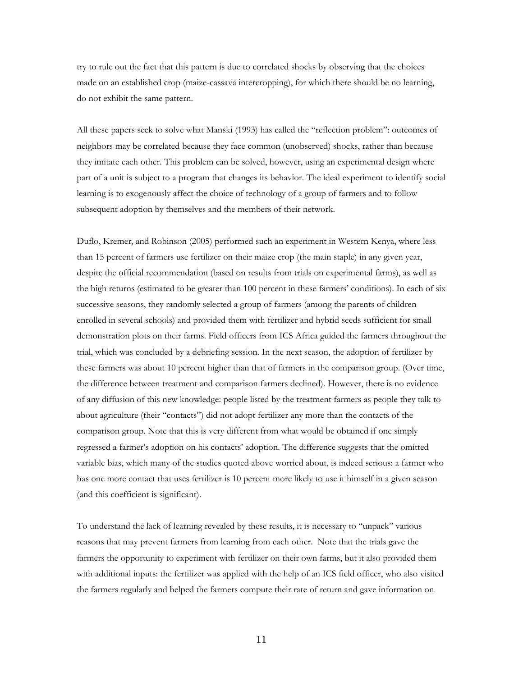try to rule out the fact that this pattern is due to correlated shocks by observing that the choices made on an established crop (maize-cassava intercropping), for which there should be no learning, do not exhibit the same pattern.

All these papers seek to solve what Manski (1993) has called the "reflection problem": outcomes of neighbors may be correlated because they face common (unobserved) shocks, rather than because they imitate each other. This problem can be solved, however, using an experimental design where part of a unit is subject to a program that changes its behavior. The ideal experiment to identify social learning is to exogenously affect the choice of technology of a group of farmers and to follow subsequent adoption by themselves and the members of their network.

Duflo, Kremer, and Robinson (2005) performed such an experiment in Western Kenya, where less than 15 percent of farmers use fertilizer on their maize crop (the main staple) in any given year, despite the official recommendation (based on results from trials on experimental farms), as well as the high returns (estimated to be greater than 100 percent in these farmers' conditions). In each of six successive seasons, they randomly selected a group of farmers (among the parents of children enrolled in several schools) and provided them with fertilizer and hybrid seeds sufficient for small demonstration plots on their farms. Field officers from ICS Africa guided the farmers throughout the trial, which was concluded by a debriefing session. In the next season, the adoption of fertilizer by these farmers was about 10 percent higher than that of farmers in the comparison group. (Over time, the difference between treatment and comparison farmers declined). However, there is no evidence of any diffusion of this new knowledge: people listed by the treatment farmers as people they talk to about agriculture (their "contacts") did not adopt fertilizer any more than the contacts of the comparison group. Note that this is very different from what would be obtained if one simply regressed a farmer's adoption on his contacts' adoption. The difference suggests that the omitted variable bias, which many of the studies quoted above worried about, is indeed serious: a farmer who has one more contact that uses fertilizer is 10 percent more likely to use it himself in a given season (and this coefficient is significant).

To understand the lack of learning revealed by these results, it is necessary to "unpack" various reasons that may prevent farmers from learning from each other. Note that the trials gave the farmers the opportunity to experiment with fertilizer on their own farms, but it also provided them with additional inputs: the fertilizer was applied with the help of an ICS field officer, who also visited the farmers regularly and helped the farmers compute their rate of return and gave information on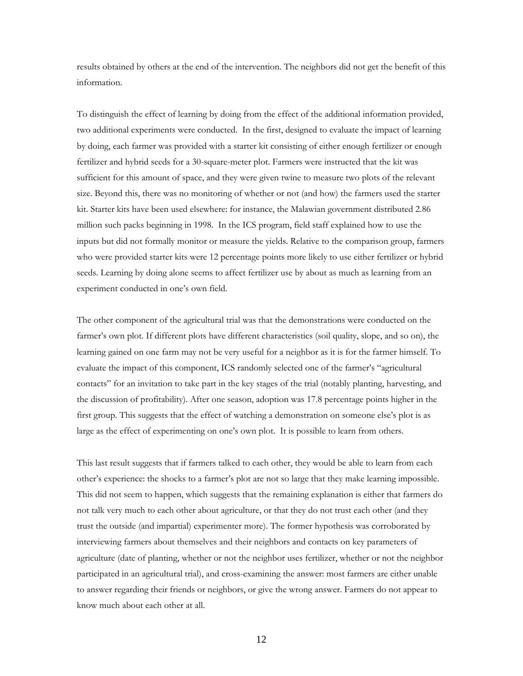results obtained by others at the end of the intervention. The neighbors did not get the benefit of this information.

To distinguish the effect of learning by doing from the effect of the additional information provided, two additional experiments were conducted. In the first, designed to evaluate the impact of learning by doing, each farmer was provided with a starter kit consisting of either enough fertilizer or enough fertilizer and hybrid seeds for a 30-square-meter plot. Farmers were instructed that the kit was sufficient for this amount of space, and they were given twine to measure two plots of the relevant size. Beyond this, there was no monitoring of whether or not (and how) the farmers used the starter kit. Starter kits have been used elsewhere: for instance, the Malawian government distributed 2.86 million such packs beginning in 1998. In the ICS program, field staff explained how to use the inputs but did not formally monitor or measure the yields. Relative to the comparison group, farmers who were provided starter kits were 12 percentage points more likely to use either fertilizer or hybrid seeds. Learning by doing alone seems to affect fertilizer use by about as much as learning from an experiment conducted in one's own field.

The other component of the agricultural trial was that the demonstrations were conducted on the farmer's own plot. If different plots have different characteristics (soil quality, slope, and so on), the learning gained on one farm may not be very useful for a neighbor as it is for the farmer himself. To evaluate the impact of this component, ICS randomly selected one of the farmer's "agricultural contacts" for an invitation to take part in the key stages of the trial (notably planting, harvesting, and the discussion of profitability). After one season, adoption was 17.8 percentage points higher in the first group. This suggests that the effect of watching a demonstration on someone else's plot is as large as the effect of experimenting on one's own plot. It is possible to learn from others.

This last result suggests that if farmers talked to each other, they would be able to learn from each other's experience: the shocks to a farmer's plot are not so large that they make learning impossible. This did not seem to happen, which suggests that the remaining explanation is either that farmers do not talk very much to each other about agriculture, or that they do not trust each other (and they trust the outside (and impartial) experimenter more). The former hypothesis was corroborated by interviewing farmers about themselves and their neighbors and contacts on key parameters of agriculture (date of planting, whether or not the neighbor uses fertilizer, whether or not the neighbor participated in an agricultural trial), and cross-examining the answer: most farmers are either unable to answer regarding their friends or neighbors, or give the wrong answer. Farmers do not appear to know much about each other at all.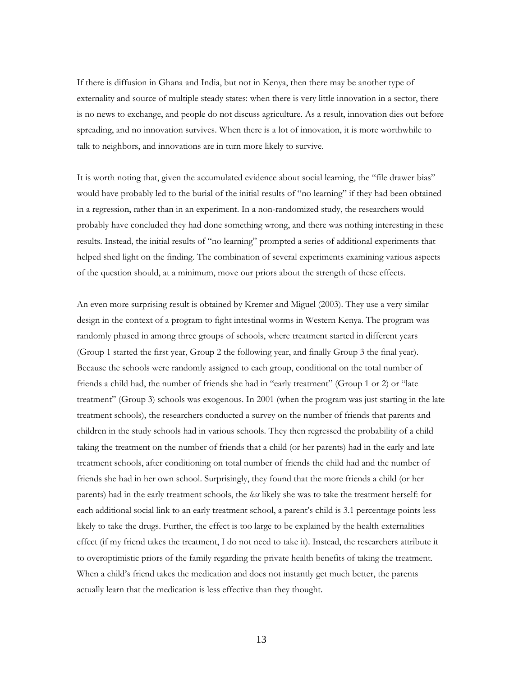If there is diffusion in Ghana and India, but not in Kenya, then there may be another type of externality and source of multiple steady states: when there is very little innovation in a sector, there is no news to exchange, and people do not discuss agriculture. As a result, innovation dies out before spreading, and no innovation survives. When there is a lot of innovation, it is more worthwhile to talk to neighbors, and innovations are in turn more likely to survive.

It is worth noting that, given the accumulated evidence about social learning, the "file drawer bias" would have probably led to the burial of the initial results of "no learning" if they had been obtained in a regression, rather than in an experiment. In a non-randomized study, the researchers would probably have concluded they had done something wrong, and there was nothing interesting in these results. Instead, the initial results of "no learning" prompted a series of additional experiments that helped shed light on the finding. The combination of several experiments examining various aspects of the question should, at a minimum, move our priors about the strength of these effects.

An even more surprising result is obtained by Kremer and Miguel (2003). They use a very similar design in the context of a program to fight intestinal worms in Western Kenya. The program was randomly phased in among three groups of schools, where treatment started in different years (Group 1 started the first year, Group 2 the following year, and finally Group 3 the final year). Because the schools were randomly assigned to each group, conditional on the total number of friends a child had, the number of friends she had in "early treatment" (Group 1 or 2) or "late treatment" (Group 3) schools was exogenous. In 2001 (when the program was just starting in the late treatment schools), the researchers conducted a survey on the number of friends that parents and children in the study schools had in various schools. They then regressed the probability of a child taking the treatment on the number of friends that a child (or her parents) had in the early and late treatment schools, after conditioning on total number of friends the child had and the number of friends she had in her own school. Surprisingly, they found that the more friends a child (or her parents) had in the early treatment schools, the *less* likely she was to take the treatment herself: for each additional social link to an early treatment school, a parent's child is 3.1 percentage points less likely to take the drugs. Further, the effect is too large to be explained by the health externalities effect (if my friend takes the treatment, I do not need to take it). Instead, the researchers attribute it to overoptimistic priors of the family regarding the private health benefits of taking the treatment. When a child's friend takes the medication and does not instantly get much better, the parents actually learn that the medication is less effective than they thought.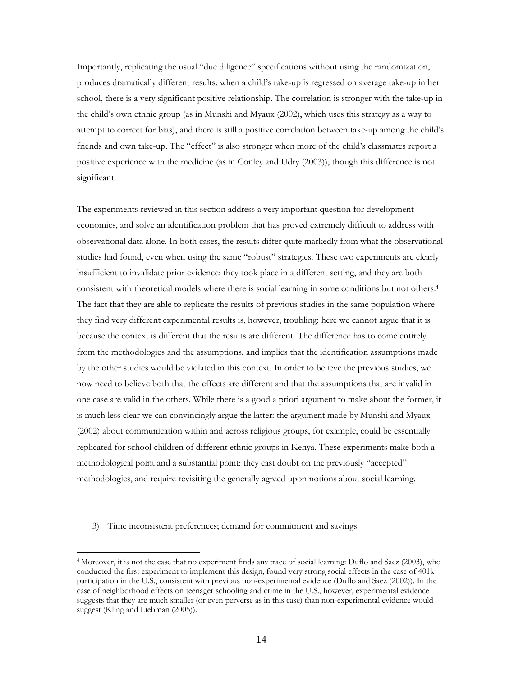Importantly, replicating the usual "due diligence" specifications without using the randomization, produces dramatically different results: when a child's take-up is regressed on average take-up in her school, there is a very significant positive relationship. The correlation is stronger with the take-up in the child's own ethnic group (as in Munshi and Myaux (2002), which uses this strategy as a way to attempt to correct for bias), and there is still a positive correlation between take-up among the child's friends and own take-up. The "effect" is also stronger when more of the child's classmates report a positive experience with the medicine (as in Conley and Udry (2003)), though this difference is not significant.

The experiments reviewed in this section address a very important question for development economics, and solve an identification problem that has proved extremely difficult to address with observational data alone. In both cases, the results differ quite markedly from what the observational studies had found, even when using the same "robust" strategies. These two experiments are clearly insufficient to invalidate prior evidence: they took place in a different setting, and they are both consistent with theoretical models where there is social learning in some conditions but not others.4 The fact that they are able to replicate the results of previous studies in the same population where they find very different experimental results is, however, troubling: here we cannot argue that it is because the context is different that the results are different. The difference has to come entirely from the methodologies and the assumptions, and implies that the identification assumptions made by the other studies would be violated in this context. In order to believe the previous studies, we now need to believe both that the effects are different and that the assumptions that are invalid in one case are valid in the others. While there is a good a priori argument to make about the former, it is much less clear we can convincingly argue the latter: the argument made by Munshi and Myaux (2002) about communication within and across religious groups, for example, could be essentially replicated for school children of different ethnic groups in Kenya. These experiments make both a methodological point and a substantial point: they cast doubt on the previously "accepted" methodologies, and require revisiting the generally agreed upon notions about social learning.

3) Time inconsistent preferences; demand for commitment and savings

 $\overline{a}$ 

<sup>4</sup> Moreover, it is not the case that no experiment finds any trace of social learning: Duflo and Saez (2003), who conducted the first experiment to implement this design, found very strong social effects in the case of 401k participation in the U.S., consistent with previous non-experimental evidence (Duflo and Saez (2002)). In the case of neighborhood effects on teenager schooling and crime in the U.S., however, experimental evidence suggests that they are much smaller (or even perverse as in this case) than non-experimental evidence would suggest (Kling and Liebman (2005)).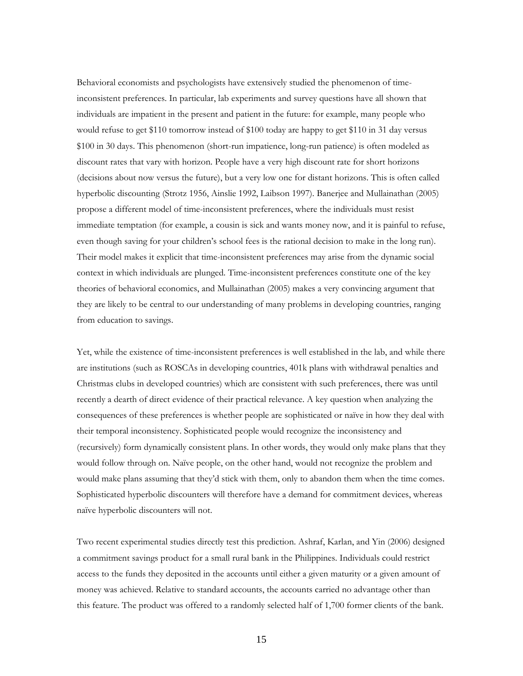Behavioral economists and psychologists have extensively studied the phenomenon of timeinconsistent preferences. In particular, lab experiments and survey questions have all shown that individuals are impatient in the present and patient in the future: for example, many people who would refuse to get \$110 tomorrow instead of \$100 today are happy to get \$110 in 31 day versus \$100 in 30 days. This phenomenon (short-run impatience, long-run patience) is often modeled as discount rates that vary with horizon. People have a very high discount rate for short horizons (decisions about now versus the future), but a very low one for distant horizons. This is often called hyperbolic discounting (Strotz 1956, Ainslie 1992, Laibson 1997). Banerjee and Mullainathan (2005) propose a different model of time-inconsistent preferences, where the individuals must resist immediate temptation (for example, a cousin is sick and wants money now, and it is painful to refuse, even though saving for your children's school fees is the rational decision to make in the long run). Their model makes it explicit that time-inconsistent preferences may arise from the dynamic social context in which individuals are plunged. Time-inconsistent preferences constitute one of the key theories of behavioral economics, and Mullainathan (2005) makes a very convincing argument that they are likely to be central to our understanding of many problems in developing countries, ranging from education to savings.

Yet, while the existence of time-inconsistent preferences is well established in the lab, and while there are institutions (such as ROSCAs in developing countries, 401k plans with withdrawal penalties and Christmas clubs in developed countries) which are consistent with such preferences, there was until recently a dearth of direct evidence of their practical relevance. A key question when analyzing the consequences of these preferences is whether people are sophisticated or naïve in how they deal with their temporal inconsistency. Sophisticated people would recognize the inconsistency and (recursively) form dynamically consistent plans. In other words, they would only make plans that they would follow through on. Naïve people, on the other hand, would not recognize the problem and would make plans assuming that they'd stick with them, only to abandon them when the time comes. Sophisticated hyperbolic discounters will therefore have a demand for commitment devices, whereas naïve hyperbolic discounters will not.

Two recent experimental studies directly test this prediction. Ashraf, Karlan, and Yin (2006) designed a commitment savings product for a small rural bank in the Philippines. Individuals could restrict access to the funds they deposited in the accounts until either a given maturity or a given amount of money was achieved. Relative to standard accounts, the accounts carried no advantage other than this feature. The product was offered to a randomly selected half of 1,700 former clients of the bank.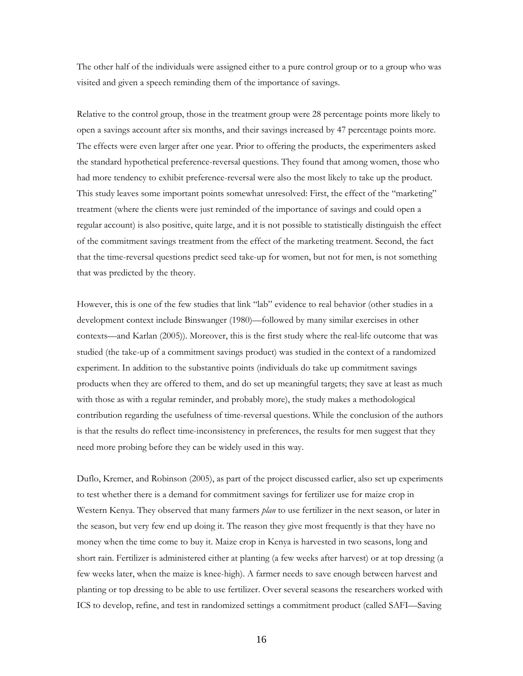The other half of the individuals were assigned either to a pure control group or to a group who was visited and given a speech reminding them of the importance of savings.

Relative to the control group, those in the treatment group were 28 percentage points more likely to open a savings account after six months, and their savings increased by 47 percentage points more. The effects were even larger after one year. Prior to offering the products, the experimenters asked the standard hypothetical preference-reversal questions. They found that among women, those who had more tendency to exhibit preference-reversal were also the most likely to take up the product. This study leaves some important points somewhat unresolved: First, the effect of the "marketing" treatment (where the clients were just reminded of the importance of savings and could open a regular account) is also positive, quite large, and it is not possible to statistically distinguish the effect of the commitment savings treatment from the effect of the marketing treatment. Second, the fact that the time-reversal questions predict seed take-up for women, but not for men, is not something that was predicted by the theory.

However, this is one of the few studies that link "lab" evidence to real behavior (other studies in a development context include Binswanger (1980)—followed by many similar exercises in other contexts—and Karlan (2005)). Moreover, this is the first study where the real-life outcome that was studied (the take-up of a commitment savings product) was studied in the context of a randomized experiment. In addition to the substantive points (individuals do take up commitment savings products when they are offered to them, and do set up meaningful targets; they save at least as much with those as with a regular reminder, and probably more), the study makes a methodological contribution regarding the usefulness of time-reversal questions. While the conclusion of the authors is that the results do reflect time-inconsistency in preferences, the results for men suggest that they need more probing before they can be widely used in this way.

Duflo, Kremer, and Robinson (2005), as part of the project discussed earlier, also set up experiments to test whether there is a demand for commitment savings for fertilizer use for maize crop in Western Kenya. They observed that many farmers *plan* to use fertilizer in the next season, or later in the season, but very few end up doing it. The reason they give most frequently is that they have no money when the time come to buy it. Maize crop in Kenya is harvested in two seasons, long and short rain. Fertilizer is administered either at planting (a few weeks after harvest) or at top dressing (a few weeks later, when the maize is knee-high). A farmer needs to save enough between harvest and planting or top dressing to be able to use fertilizer. Over several seasons the researchers worked with ICS to develop, refine, and test in randomized settings a commitment product (called SAFI—Saving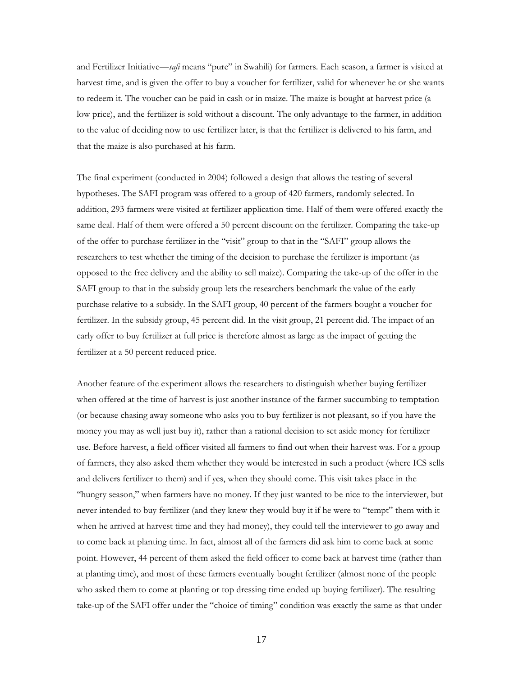and Fertilizer Initiative—*safi* means "pure" in Swahili) for farmers. Each season, a farmer is visited at harvest time, and is given the offer to buy a voucher for fertilizer, valid for whenever he or she wants to redeem it. The voucher can be paid in cash or in maize. The maize is bought at harvest price (a low price), and the fertilizer is sold without a discount. The only advantage to the farmer, in addition to the value of deciding now to use fertilizer later, is that the fertilizer is delivered to his farm, and that the maize is also purchased at his farm.

The final experiment (conducted in 2004) followed a design that allows the testing of several hypotheses. The SAFI program was offered to a group of 420 farmers, randomly selected. In addition, 293 farmers were visited at fertilizer application time. Half of them were offered exactly the same deal. Half of them were offered a 50 percent discount on the fertilizer. Comparing the take-up of the offer to purchase fertilizer in the "visit" group to that in the "SAFI" group allows the researchers to test whether the timing of the decision to purchase the fertilizer is important (as opposed to the free delivery and the ability to sell maize). Comparing the take-up of the offer in the SAFI group to that in the subsidy group lets the researchers benchmark the value of the early purchase relative to a subsidy. In the SAFI group, 40 percent of the farmers bought a voucher for fertilizer. In the subsidy group, 45 percent did. In the visit group, 21 percent did. The impact of an early offer to buy fertilizer at full price is therefore almost as large as the impact of getting the fertilizer at a 50 percent reduced price.

Another feature of the experiment allows the researchers to distinguish whether buying fertilizer when offered at the time of harvest is just another instance of the farmer succumbing to temptation (or because chasing away someone who asks you to buy fertilizer is not pleasant, so if you have the money you may as well just buy it), rather than a rational decision to set aside money for fertilizer use. Before harvest, a field officer visited all farmers to find out when their harvest was. For a group of farmers, they also asked them whether they would be interested in such a product (where ICS sells and delivers fertilizer to them) and if yes, when they should come. This visit takes place in the "hungry season," when farmers have no money. If they just wanted to be nice to the interviewer, but never intended to buy fertilizer (and they knew they would buy it if he were to "tempt" them with it when he arrived at harvest time and they had money), they could tell the interviewer to go away and to come back at planting time. In fact, almost all of the farmers did ask him to come back at some point. However, 44 percent of them asked the field officer to come back at harvest time (rather than at planting time), and most of these farmers eventually bought fertilizer (almost none of the people who asked them to come at planting or top dressing time ended up buying fertilizer). The resulting take-up of the SAFI offer under the "choice of timing" condition was exactly the same as that under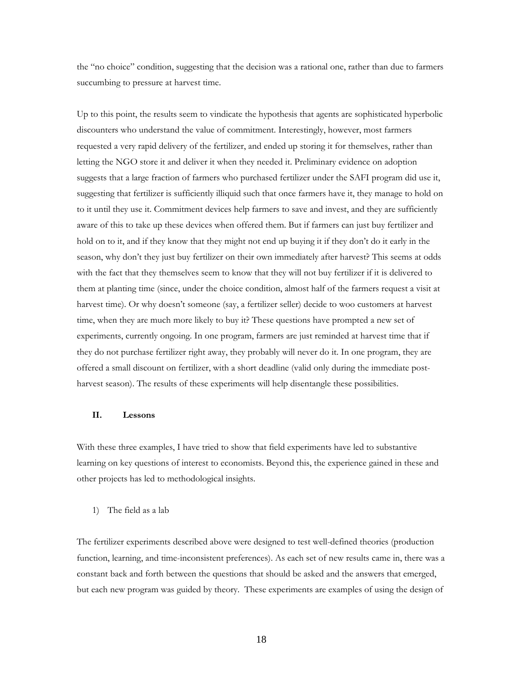the "no choice" condition, suggesting that the decision was a rational one, rather than due to farmers succumbing to pressure at harvest time.

Up to this point, the results seem to vindicate the hypothesis that agents are sophisticated hyperbolic discounters who understand the value of commitment. Interestingly, however, most farmers requested a very rapid delivery of the fertilizer, and ended up storing it for themselves, rather than letting the NGO store it and deliver it when they needed it. Preliminary evidence on adoption suggests that a large fraction of farmers who purchased fertilizer under the SAFI program did use it, suggesting that fertilizer is sufficiently illiquid such that once farmers have it, they manage to hold on to it until they use it. Commitment devices help farmers to save and invest, and they are sufficiently aware of this to take up these devices when offered them. But if farmers can just buy fertilizer and hold on to it, and if they know that they might not end up buying it if they don't do it early in the season, why don't they just buy fertilizer on their own immediately after harvest? This seems at odds with the fact that they themselves seem to know that they will not buy fertilizer if it is delivered to them at planting time (since, under the choice condition, almost half of the farmers request a visit at harvest time). Or why doesn't someone (say, a fertilizer seller) decide to woo customers at harvest time, when they are much more likely to buy it? These questions have prompted a new set of experiments, currently ongoing. In one program, farmers are just reminded at harvest time that if they do not purchase fertilizer right away, they probably will never do it. In one program, they are offered a small discount on fertilizer, with a short deadline (valid only during the immediate postharvest season). The results of these experiments will help disentangle these possibilities.

### **II. Lessons**

With these three examples, I have tried to show that field experiments have led to substantive learning on key questions of interest to economists. Beyond this, the experience gained in these and other projects has led to methodological insights.

1) The field as a lab

The fertilizer experiments described above were designed to test well-defined theories (production function, learning, and time-inconsistent preferences). As each set of new results came in, there was a constant back and forth between the questions that should be asked and the answers that emerged, but each new program was guided by theory. These experiments are examples of using the design of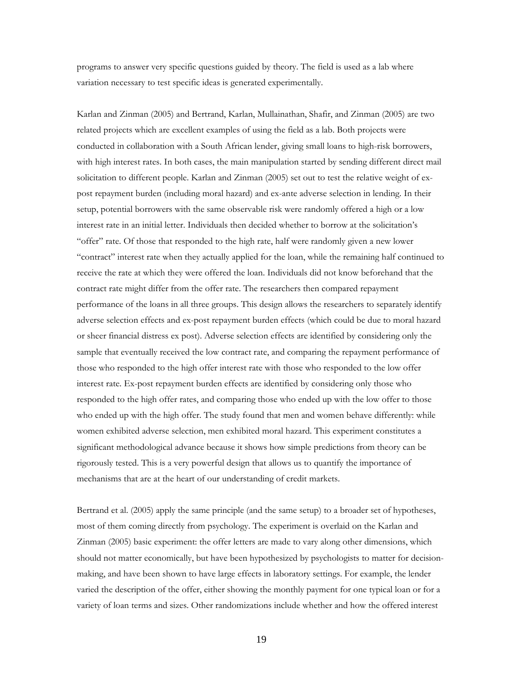programs to answer very specific questions guided by theory. The field is used as a lab where variation necessary to test specific ideas is generated experimentally.

Karlan and Zinman (2005) and Bertrand, Karlan, Mullainathan, Shafir, and Zinman (2005) are two related projects which are excellent examples of using the field as a lab. Both projects were conducted in collaboration with a South African lender, giving small loans to high-risk borrowers, with high interest rates. In both cases, the main manipulation started by sending different direct mail solicitation to different people. Karlan and Zinman (2005) set out to test the relative weight of expost repayment burden (including moral hazard) and ex-ante adverse selection in lending. In their setup, potential borrowers with the same observable risk were randomly offered a high or a low interest rate in an initial letter. Individuals then decided whether to borrow at the solicitation's "offer" rate. Of those that responded to the high rate, half were randomly given a new lower "contract" interest rate when they actually applied for the loan, while the remaining half continued to receive the rate at which they were offered the loan. Individuals did not know beforehand that the contract rate might differ from the offer rate. The researchers then compared repayment performance of the loans in all three groups. This design allows the researchers to separately identify adverse selection effects and ex-post repayment burden effects (which could be due to moral hazard or sheer financial distress ex post). Adverse selection effects are identified by considering only the sample that eventually received the low contract rate, and comparing the repayment performance of those who responded to the high offer interest rate with those who responded to the low offer interest rate. Ex-post repayment burden effects are identified by considering only those who responded to the high offer rates, and comparing those who ended up with the low offer to those who ended up with the high offer. The study found that men and women behave differently: while women exhibited adverse selection, men exhibited moral hazard. This experiment constitutes a significant methodological advance because it shows how simple predictions from theory can be rigorously tested. This is a very powerful design that allows us to quantify the importance of mechanisms that are at the heart of our understanding of credit markets.

Bertrand et al. (2005) apply the same principle (and the same setup) to a broader set of hypotheses, most of them coming directly from psychology. The experiment is overlaid on the Karlan and Zinman (2005) basic experiment: the offer letters are made to vary along other dimensions, which should not matter economically, but have been hypothesized by psychologists to matter for decisionmaking, and have been shown to have large effects in laboratory settings. For example, the lender varied the description of the offer, either showing the monthly payment for one typical loan or for a variety of loan terms and sizes. Other randomizations include whether and how the offered interest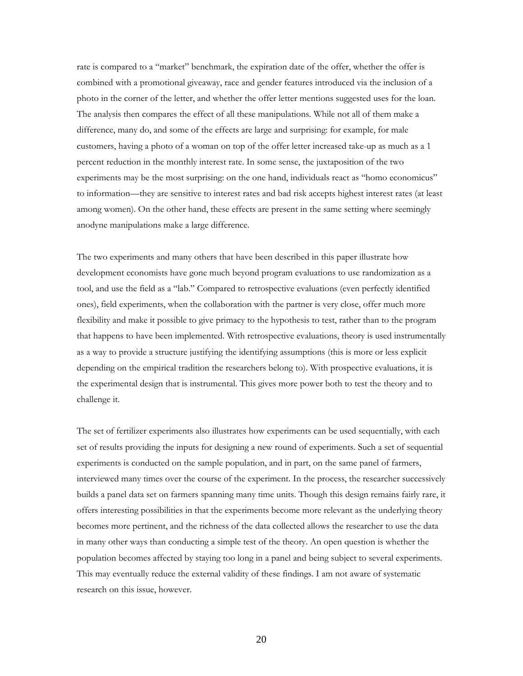rate is compared to a "market" benchmark, the expiration date of the offer, whether the offer is combined with a promotional giveaway, race and gender features introduced via the inclusion of a photo in the corner of the letter, and whether the offer letter mentions suggested uses for the loan. The analysis then compares the effect of all these manipulations. While not all of them make a difference, many do, and some of the effects are large and surprising: for example, for male customers, having a photo of a woman on top of the offer letter increased take-up as much as a 1 percent reduction in the monthly interest rate. In some sense, the juxtaposition of the two experiments may be the most surprising: on the one hand, individuals react as "homo economicus" to information—they are sensitive to interest rates and bad risk accepts highest interest rates (at least among women). On the other hand, these effects are present in the same setting where seemingly anodyne manipulations make a large difference.

The two experiments and many others that have been described in this paper illustrate how development economists have gone much beyond program evaluations to use randomization as a tool, and use the field as a "lab." Compared to retrospective evaluations (even perfectly identified ones), field experiments, when the collaboration with the partner is very close, offer much more flexibility and make it possible to give primacy to the hypothesis to test, rather than to the program that happens to have been implemented. With retrospective evaluations, theory is used instrumentally as a way to provide a structure justifying the identifying assumptions (this is more or less explicit depending on the empirical tradition the researchers belong to). With prospective evaluations, it is the experimental design that is instrumental. This gives more power both to test the theory and to challenge it.

The set of fertilizer experiments also illustrates how experiments can be used sequentially, with each set of results providing the inputs for designing a new round of experiments. Such a set of sequential experiments is conducted on the sample population, and in part, on the same panel of farmers, interviewed many times over the course of the experiment. In the process, the researcher successively builds a panel data set on farmers spanning many time units. Though this design remains fairly rare, it offers interesting possibilities in that the experiments become more relevant as the underlying theory becomes more pertinent, and the richness of the data collected allows the researcher to use the data in many other ways than conducting a simple test of the theory. An open question is whether the population becomes affected by staying too long in a panel and being subject to several experiments. This may eventually reduce the external validity of these findings. I am not aware of systematic research on this issue, however.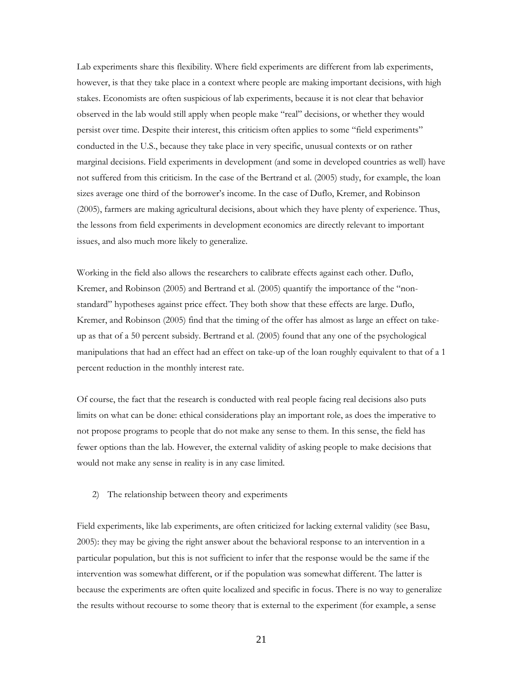Lab experiments share this flexibility. Where field experiments are different from lab experiments, however, is that they take place in a context where people are making important decisions, with high stakes. Economists are often suspicious of lab experiments, because it is not clear that behavior observed in the lab would still apply when people make "real" decisions, or whether they would persist over time. Despite their interest, this criticism often applies to some "field experiments" conducted in the U.S., because they take place in very specific, unusual contexts or on rather marginal decisions. Field experiments in development (and some in developed countries as well) have not suffered from this criticism. In the case of the Bertrand et al. (2005) study, for example, the loan sizes average one third of the borrower's income. In the case of Duflo, Kremer, and Robinson (2005), farmers are making agricultural decisions, about which they have plenty of experience. Thus, the lessons from field experiments in development economics are directly relevant to important issues, and also much more likely to generalize.

Working in the field also allows the researchers to calibrate effects against each other. Duflo, Kremer, and Robinson (2005) and Bertrand et al. (2005) quantify the importance of the "nonstandard" hypotheses against price effect. They both show that these effects are large. Duflo, Kremer, and Robinson (2005) find that the timing of the offer has almost as large an effect on takeup as that of a 50 percent subsidy. Bertrand et al. (2005) found that any one of the psychological manipulations that had an effect had an effect on take-up of the loan roughly equivalent to that of a 1 percent reduction in the monthly interest rate.

Of course, the fact that the research is conducted with real people facing real decisions also puts limits on what can be done: ethical considerations play an important role, as does the imperative to not propose programs to people that do not make any sense to them. In this sense, the field has fewer options than the lab. However, the external validity of asking people to make decisions that would not make any sense in reality is in any case limited.

#### 2) The relationship between theory and experiments

Field experiments, like lab experiments, are often criticized for lacking external validity (see Basu, 2005): they may be giving the right answer about the behavioral response to an intervention in a particular population, but this is not sufficient to infer that the response would be the same if the intervention was somewhat different, or if the population was somewhat different. The latter is because the experiments are often quite localized and specific in focus. There is no way to generalize the results without recourse to some theory that is external to the experiment (for example, a sense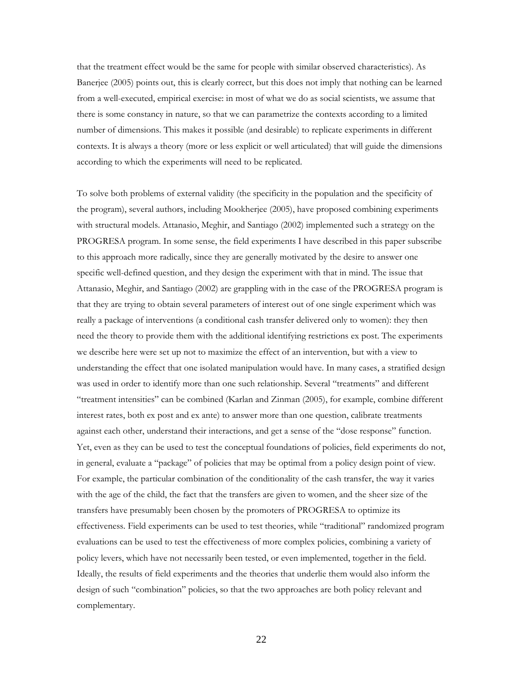that the treatment effect would be the same for people with similar observed characteristics). As Banerjee (2005) points out, this is clearly correct, but this does not imply that nothing can be learned from a well-executed, empirical exercise: in most of what we do as social scientists, we assume that there is some constancy in nature, so that we can parametrize the contexts according to a limited number of dimensions. This makes it possible (and desirable) to replicate experiments in different contexts. It is always a theory (more or less explicit or well articulated) that will guide the dimensions according to which the experiments will need to be replicated.

To solve both problems of external validity (the specificity in the population and the specificity of the program), several authors, including Mookherjee (2005), have proposed combining experiments with structural models. Attanasio, Meghir, and Santiago (2002) implemented such a strategy on the PROGRESA program. In some sense, the field experiments I have described in this paper subscribe to this approach more radically, since they are generally motivated by the desire to answer one specific well-defined question, and they design the experiment with that in mind. The issue that Attanasio, Meghir, and Santiago (2002) are grappling with in the case of the PROGRESA program is that they are trying to obtain several parameters of interest out of one single experiment which was really a package of interventions (a conditional cash transfer delivered only to women): they then need the theory to provide them with the additional identifying restrictions ex post. The experiments we describe here were set up not to maximize the effect of an intervention, but with a view to understanding the effect that one isolated manipulation would have. In many cases, a stratified design was used in order to identify more than one such relationship. Several "treatments" and different "treatment intensities" can be combined (Karlan and Zinman (2005), for example, combine different interest rates, both ex post and ex ante) to answer more than one question, calibrate treatments against each other, understand their interactions, and get a sense of the "dose response" function. Yet, even as they can be used to test the conceptual foundations of policies, field experiments do not, in general, evaluate a "package" of policies that may be optimal from a policy design point of view. For example, the particular combination of the conditionality of the cash transfer, the way it varies with the age of the child, the fact that the transfers are given to women, and the sheer size of the transfers have presumably been chosen by the promoters of PROGRESA to optimize its effectiveness. Field experiments can be used to test theories, while "traditional" randomized program evaluations can be used to test the effectiveness of more complex policies, combining a variety of policy levers, which have not necessarily been tested, or even implemented, together in the field. Ideally, the results of field experiments and the theories that underlie them would also inform the design of such "combination" policies, so that the two approaches are both policy relevant and complementary.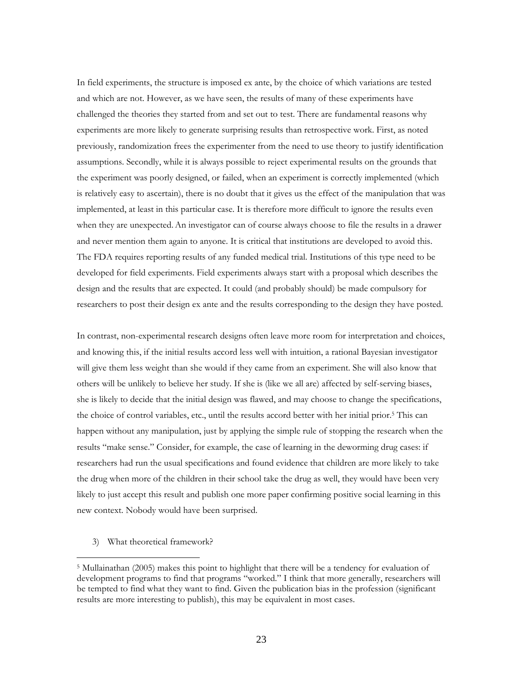In field experiments, the structure is imposed ex ante, by the choice of which variations are tested and which are not. However, as we have seen, the results of many of these experiments have challenged the theories they started from and set out to test. There are fundamental reasons why experiments are more likely to generate surprising results than retrospective work. First, as noted previously, randomization frees the experimenter from the need to use theory to justify identification assumptions. Secondly, while it is always possible to reject experimental results on the grounds that the experiment was poorly designed, or failed, when an experiment is correctly implemented (which is relatively easy to ascertain), there is no doubt that it gives us the effect of the manipulation that was implemented, at least in this particular case. It is therefore more difficult to ignore the results even when they are unexpected.An investigator can of course always choose to file the results in a drawer and never mention them again to anyone. It is critical that institutions are developed to avoid this. The FDA requires reporting results of any funded medical trial. Institutions of this type need to be developed for field experiments. Field experiments always start with a proposal which describes the design and the results that are expected. It could (and probably should) be made compulsory for researchers to post their design ex ante and the results corresponding to the design they have posted.

In contrast, non-experimental research designs often leave more room for interpretation and choices, and knowing this, if the initial results accord less well with intuition, a rational Bayesian investigator will give them less weight than she would if they came from an experiment. She will also know that others will be unlikely to believe her study. If she is (like we all are) affected by self-serving biases, she is likely to decide that the initial design was flawed, and may choose to change the specifications, the choice of control variables, etc., until the results accord better with her initial prior.5 This can happen without any manipulation, just by applying the simple rule of stopping the research when the results "make sense." Consider, for example, the case of learning in the deworming drug cases: if researchers had run the usual specifications and found evidence that children are more likely to take the drug when more of the children in their school take the drug as well, they would have been very likely to just accept this result and publish one more paper confirming positive social learning in this new context. Nobody would have been surprised.

3) What theoretical framework?

 $\overline{a}$ 

<sup>5</sup> Mullainathan (2005) makes this point to highlight that there will be a tendency for evaluation of development programs to find that programs "worked." I think that more generally, researchers will be tempted to find what they want to find. Given the publication bias in the profession (significant results are more interesting to publish), this may be equivalent in most cases.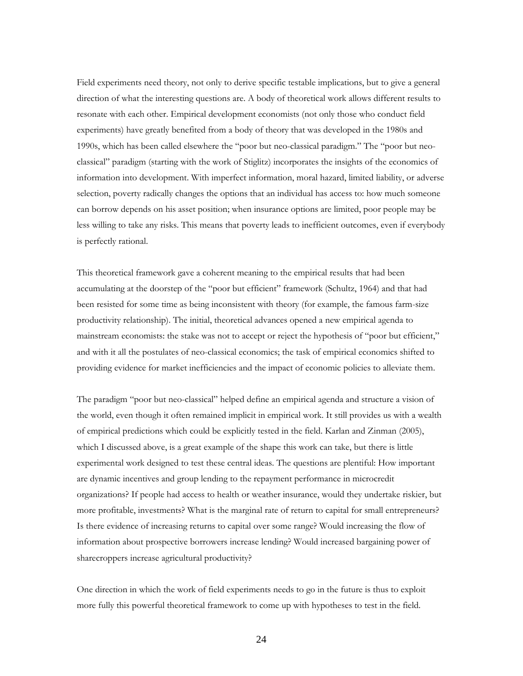Field experiments need theory, not only to derive specific testable implications, but to give a general direction of what the interesting questions are. A body of theoretical work allows different results to resonate with each other. Empirical development economists (not only those who conduct field experiments) have greatly benefited from a body of theory that was developed in the 1980s and 1990s, which has been called elsewhere the "poor but neo-classical paradigm." The "poor but neoclassical" paradigm (starting with the work of Stiglitz) incorporates the insights of the economics of information into development. With imperfect information, moral hazard, limited liability, or adverse selection, poverty radically changes the options that an individual has access to: how much someone can borrow depends on his asset position; when insurance options are limited, poor people may be less willing to take any risks. This means that poverty leads to inefficient outcomes, even if everybody is perfectly rational.

This theoretical framework gave a coherent meaning to the empirical results that had been accumulating at the doorstep of the "poor but efficient" framework (Schultz, 1964) and that had been resisted for some time as being inconsistent with theory (for example, the famous farm-size productivity relationship). The initial, theoretical advances opened a new empirical agenda to mainstream economists: the stake was not to accept or reject the hypothesis of "poor but efficient," and with it all the postulates of neo-classical economics; the task of empirical economics shifted to providing evidence for market inefficiencies and the impact of economic policies to alleviate them.

The paradigm "poor but neo-classical" helped define an empirical agenda and structure a vision of the world, even though it often remained implicit in empirical work. It still provides us with a wealth of empirical predictions which could be explicitly tested in the field. Karlan and Zinman (2005), which I discussed above, is a great example of the shape this work can take, but there is little experimental work designed to test these central ideas. The questions are plentiful: How important are dynamic incentives and group lending to the repayment performance in microcredit organizations? If people had access to health or weather insurance, would they undertake riskier, but more profitable, investments? What is the marginal rate of return to capital for small entrepreneurs? Is there evidence of increasing returns to capital over some range? Would increasing the flow of information about prospective borrowers increase lending? Would increased bargaining power of sharecroppers increase agricultural productivity?

One direction in which the work of field experiments needs to go in the future is thus to exploit more fully this powerful theoretical framework to come up with hypotheses to test in the field.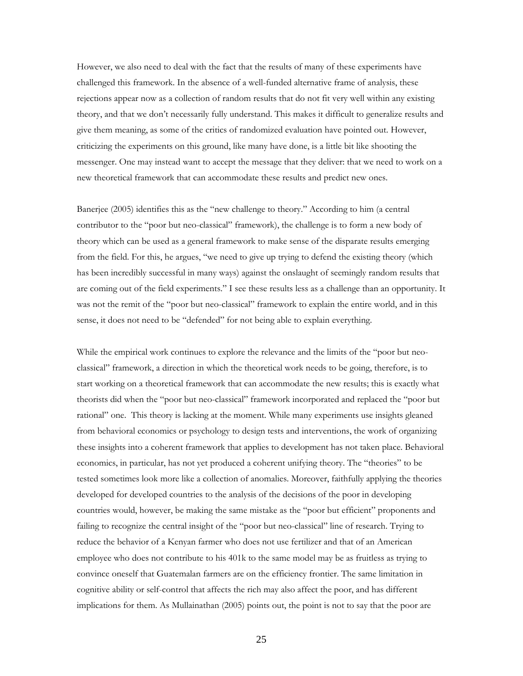However, we also need to deal with the fact that the results of many of these experiments have challenged this framework. In the absence of a well-funded alternative frame of analysis, these rejections appear now as a collection of random results that do not fit very well within any existing theory, and that we don't necessarily fully understand. This makes it difficult to generalize results and give them meaning, as some of the critics of randomized evaluation have pointed out. However, criticizing the experiments on this ground, like many have done, is a little bit like shooting the messenger. One may instead want to accept the message that they deliver: that we need to work on a new theoretical framework that can accommodate these results and predict new ones.

Banerjee (2005) identifies this as the "new challenge to theory." According to him (a central contributor to the "poor but neo-classical" framework), the challenge is to form a new body of theory which can be used as a general framework to make sense of the disparate results emerging from the field. For this, he argues, "we need to give up trying to defend the existing theory (which has been incredibly successful in many ways) against the onslaught of seemingly random results that are coming out of the field experiments." I see these results less as a challenge than an opportunity. It was not the remit of the "poor but neo-classical" framework to explain the entire world, and in this sense, it does not need to be "defended" for not being able to explain everything.

While the empirical work continues to explore the relevance and the limits of the "poor but neoclassical" framework, a direction in which the theoretical work needs to be going, therefore, is to start working on a theoretical framework that can accommodate the new results; this is exactly what theorists did when the "poor but neo-classical" framework incorporated and replaced the "poor but rational" one. This theory is lacking at the moment. While many experiments use insights gleaned from behavioral economics or psychology to design tests and interventions, the work of organizing these insights into a coherent framework that applies to development has not taken place. Behavioral economics, in particular, has not yet produced a coherent unifying theory. The "theories" to be tested sometimes look more like a collection of anomalies. Moreover, faithfully applying the theories developed for developed countries to the analysis of the decisions of the poor in developing countries would, however, be making the same mistake as the "poor but efficient" proponents and failing to recognize the central insight of the "poor but neo-classical" line of research. Trying to reduce the behavior of a Kenyan farmer who does not use fertilizer and that of an American employee who does not contribute to his 401k to the same model may be as fruitless as trying to convince oneself that Guatemalan farmers are on the efficiency frontier. The same limitation in cognitive ability or self-control that affects the rich may also affect the poor, and has different implications for them. As Mullainathan (2005) points out, the point is not to say that the poor are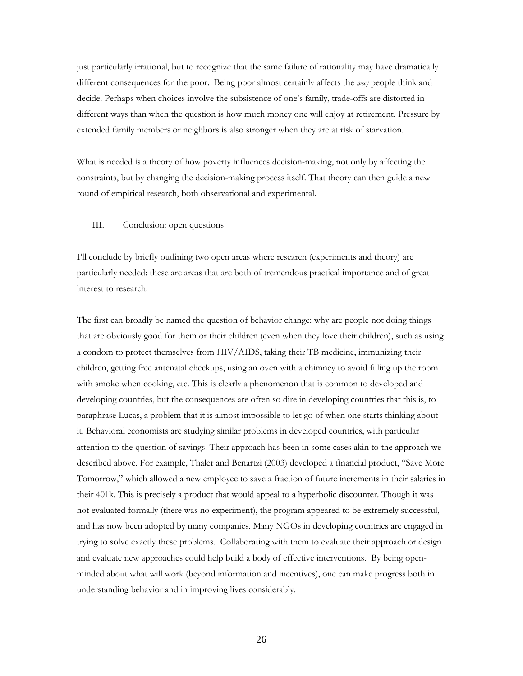just particularly irrational, but to recognize that the same failure of rationality may have dramatically different consequences for the poor. Being poor almost certainly affects the *way* people think and decide. Perhaps when choices involve the subsistence of one's family, trade-offs are distorted in different ways than when the question is how much money one will enjoy at retirement. Pressure by extended family members or neighbors is also stronger when they are at risk of starvation.

What is needed is a theory of how poverty influences decision-making, not only by affecting the constraints, but by changing the decision-making process itself. That theory can then guide a new round of empirical research, both observational and experimental.

## III. Conclusion: open questions

I'll conclude by briefly outlining two open areas where research (experiments and theory) are particularly needed: these are areas that are both of tremendous practical importance and of great interest to research.

The first can broadly be named the question of behavior change: why are people not doing things that are obviously good for them or their children (even when they love their children), such as using a condom to protect themselves from HIV/AIDS, taking their TB medicine, immunizing their children, getting free antenatal checkups, using an oven with a chimney to avoid filling up the room with smoke when cooking, etc. This is clearly a phenomenon that is common to developed and developing countries, but the consequences are often so dire in developing countries that this is, to paraphrase Lucas, a problem that it is almost impossible to let go of when one starts thinking about it. Behavioral economists are studying similar problems in developed countries, with particular attention to the question of savings. Their approach has been in some cases akin to the approach we described above. For example, Thaler and Benartzi (2003) developed a financial product, "Save More Tomorrow," which allowed a new employee to save a fraction of future increments in their salaries in their 401k. This is precisely a product that would appeal to a hyperbolic discounter. Though it was not evaluated formally (there was no experiment), the program appeared to be extremely successful, and has now been adopted by many companies. Many NGOs in developing countries are engaged in trying to solve exactly these problems. Collaborating with them to evaluate their approach or design and evaluate new approaches could help build a body of effective interventions. By being openminded about what will work (beyond information and incentives), one can make progress both in understanding behavior and in improving lives considerably.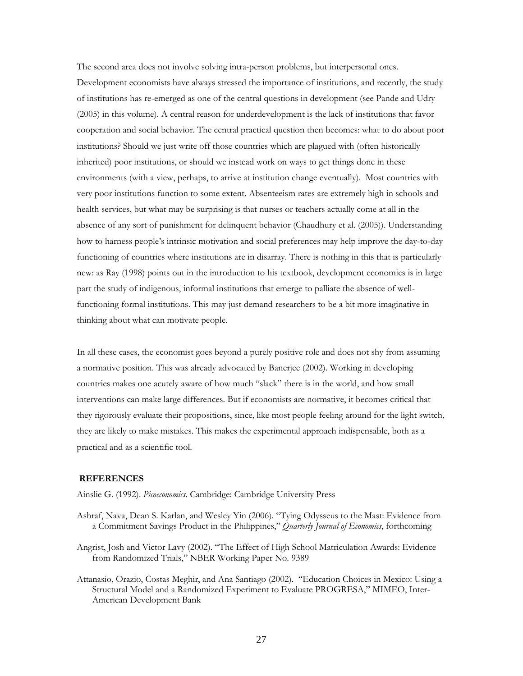The second area does not involve solving intra-person problems, but interpersonal ones. Development economists have always stressed the importance of institutions, and recently, the study of institutions has re-emerged as one of the central questions in development (see Pande and Udry (2005) in this volume). A central reason for underdevelopment is the lack of institutions that favor cooperation and social behavior. The central practical question then becomes: what to do about poor institutions? Should we just write off those countries which are plagued with (often historically inherited) poor institutions, or should we instead work on ways to get things done in these environments (with a view, perhaps, to arrive at institution change eventually). Most countries with very poor institutions function to some extent. Absenteeism rates are extremely high in schools and health services, but what may be surprising is that nurses or teachers actually come at all in the absence of any sort of punishment for delinquent behavior (Chaudhury et al. (2005)). Understanding how to harness people's intrinsic motivation and social preferences may help improve the day-to-day functioning of countries where institutions are in disarray. There is nothing in this that is particularly new: as Ray (1998) points out in the introduction to his textbook, development economics is in large part the study of indigenous, informal institutions that emerge to palliate the absence of wellfunctioning formal institutions. This may just demand researchers to be a bit more imaginative in thinking about what can motivate people.

In all these cases, the economist goes beyond a purely positive role and does not shy from assuming a normative position. This was already advocated by Banerjee (2002). Working in developing countries makes one acutely aware of how much "slack" there is in the world, and how small interventions can make large differences. But if economists are normative, it becomes critical that they rigorously evaluate their propositions, since, like most people feeling around for the light switch, they are likely to make mistakes. This makes the experimental approach indispensable, both as a practical and as a scientific tool.

### **REFERENCES**

Ainslie G. (1992). *Picoeconomics*. Cambridge: Cambridge University Press

- Ashraf, Nava, Dean S. Karlan, and Wesley Yin (2006). "Tying Odysseus to the Mast: Evidence from a Commitment Savings Product in the Philippines," *Quarterly Journal of Economics*, forthcoming
- Angrist, Josh and Victor Lavy (2002). "The Effect of High School Matriculation Awards: Evidence from Randomized Trials," NBER Working Paper No. 9389
- Attanasio, Orazio, Costas Meghir, and Ana Santiago (2002). "Education Choices in Mexico: Using a Structural Model and a Randomized Experiment to Evaluate PROGRESA," MIMEO, Inter-American Development Bank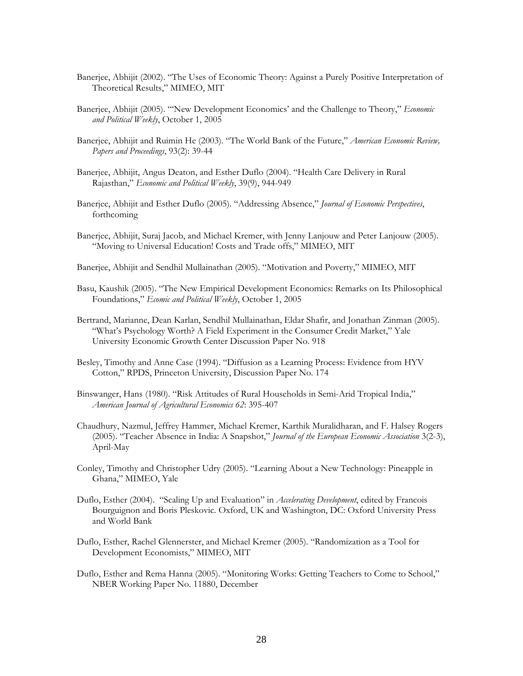- Banerjee, Abhijit (2002). "The Uses of Economic Theory: Against a Purely Positive Interpretation of Theoretical Results," MIMEO, MIT
- Banerjee, Abhijit (2005). "'New Development Economics' and the Challenge to Theory," *Economic and Political Weekly*, October 1, 2005
- Banerjee, Abhijit and Ruimin He (2003). "The World Bank of the Future," *American Economic Review, Papers and Proceedings*, 93(2): 39-44
- Banerjee, Abhijit, Angus Deaton, and Esther Duflo (2004). "Health Care Delivery in Rural Rajasthan," *Economic and Political Weekly*, 39(9), 944-949
- Banerjee, Abhijit and Esther Duflo (2005). "Addressing Absence," *Journal of Economic Perspectives*, forthcoming
- Banerjee, Abhijit, Suraj Jacob, and Michael Kremer, with Jenny Lanjouw and Peter Lanjouw (2005). "Moving to Universal Education! Costs and Trade offs," MIMEO, MIT
- Banerjee, Abhijit and Sendhil Mullainathan (2005). "Motivation and Poverty," MIMEO, MIT
- Basu, Kaushik (2005). "The New Empirical Development Economics: Remarks on Its Philosophical Foundations," *Ecomic and Political Weekly*, October 1, 2005
- Bertrand, Marianne, Dean Karlan, Sendhil Mullainathan, Eldar Shafir, and Jonathan Zinman (2005). "What's Psychology Worth? A Field Experiment in the Consumer Credit Market," Yale University Economic Growth Center Discussion Paper No. 918
- Besley, Timothy and Anne Case (1994). "Diffusion as a Learning Process: Evidence from HYV Cotton," RPDS, Princeton University, Discussion Paper No. 174
- Binswanger, Hans (1980). "Risk Attitudes of Rural Households in Semi-Arid Tropical India," *American Journal of Agricultural Economics 62*: 395-407
- Chaudhury, Nazmul, Jeffrey Hammer, Michael Kremer, Karthik Muralidharan, and F. Halsey Rogers (2005). "Teacher Absence in India: A Snapshot," *Journal of the European Economic Association* 3(2-3), April-May
- Conley, Timothy and Christopher Udry (2005). "Learning About a New Technology: Pineapple in Ghana," MIMEO, Yale
- Duflo, Esther (2004). "Scaling Up and Evaluation" in *Accelerating Development*, edited by Francois Bourguignon and Boris Pleskovic. Oxford, UK and Washington, DC: Oxford University Press and World Bank
- Duflo, Esther, Rachel Glennerster, and Michael Kremer (2005). "Randomization as a Tool for Development Economists," MIMEO, MIT
- Duflo, Esther and Rema Hanna (2005). "Monitoring Works: Getting Teachers to Come to School," NBER Working Paper No. 11880, December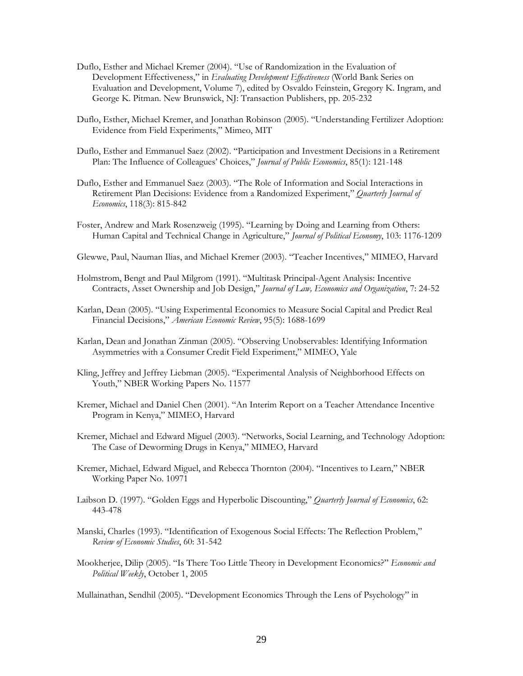- Duflo, Esther and Michael Kremer (2004). "Use of Randomization in the Evaluation of Development Effectiveness," in *Evaluating Development Effectiveness* (World Bank Series on Evaluation and Development, Volume 7), edited by Osvaldo Feinstein, Gregory K. Ingram, and George K. Pitman. New Brunswick, NJ: Transaction Publishers, pp. 205-232
- Duflo, Esther, Michael Kremer, and Jonathan Robinson (2005). "Understanding Fertilizer Adoption: Evidence from Field Experiments," Mimeo, MIT
- Duflo, Esther and Emmanuel Saez (2002). "Participation and Investment Decisions in a Retirement Plan: The Influence of Colleagues' Choices," *Journal of Public Economics*, 85(1): 121-148
- Duflo, Esther and Emmanuel Saez (2003). "The Role of Information and Social Interactions in Retirement Plan Decisions: Evidence from a Randomized Experiment," *Quarterly Journal of Economics*, 118(3): 815-842
- Foster, Andrew and Mark Rosenzweig (1995). "Learning by Doing and Learning from Others: Human Capital and Technical Change in Agriculture," *Journal of Political Economy*, 103: 1176-1209
- Glewwe, Paul, Nauman Ilias, and Michael Kremer (2003). "Teacher Incentives," MIMEO, Harvard
- Holmstrom, Bengt and Paul Milgrom (1991). "Multitask Principal-Agent Analysis: Incentive Contracts, Asset Ownership and Job Design," *Journal of Law, Economics and Organization*, 7: 24-52
- Karlan, Dean (2005). "Using Experimental Economics to Measure Social Capital and Predict Real Financial Decisions," *American Economic Review*, 95(5): 1688-1699
- Karlan, Dean and Jonathan Zinman (2005). "Observing Unobservables: Identifying Information Asymmetries with a Consumer Credit Field Experiment," MIMEO, Yale
- Kling, Jeffrey and Jeffrey Liebman (2005). "Experimental Analysis of Neighborhood Effects on Youth," NBER Working Papers No. 11577
- Kremer, Michael and Daniel Chen (2001). "An Interim Report on a Teacher Attendance Incentive Program in Kenya," MIMEO, Harvard
- Kremer, Michael and Edward Miguel (2003). "Networks, Social Learning, and Technology Adoption: The Case of Deworming Drugs in Kenya," MIMEO, Harvard
- Kremer, Michael, Edward Miguel, and Rebecca Thornton (2004). "Incentives to Learn," NBER Working Paper No. 10971
- Laibson D. (1997). "Golden Eggs and Hyperbolic Discounting," *Quarterly Journal of Economics*, 62: 443-478
- Manski, Charles (1993). "Identification of Exogenous Social Effects: The Reflection Problem," *Review of Economic Studies*, 60: 31-542
- Mookherjee, Dilip (2005). "Is There Too Little Theory in Development Economics?" *Economic and Political Weekly*, October 1, 2005

Mullainathan, Sendhil (2005). "Development Economics Through the Lens of Psychology" in